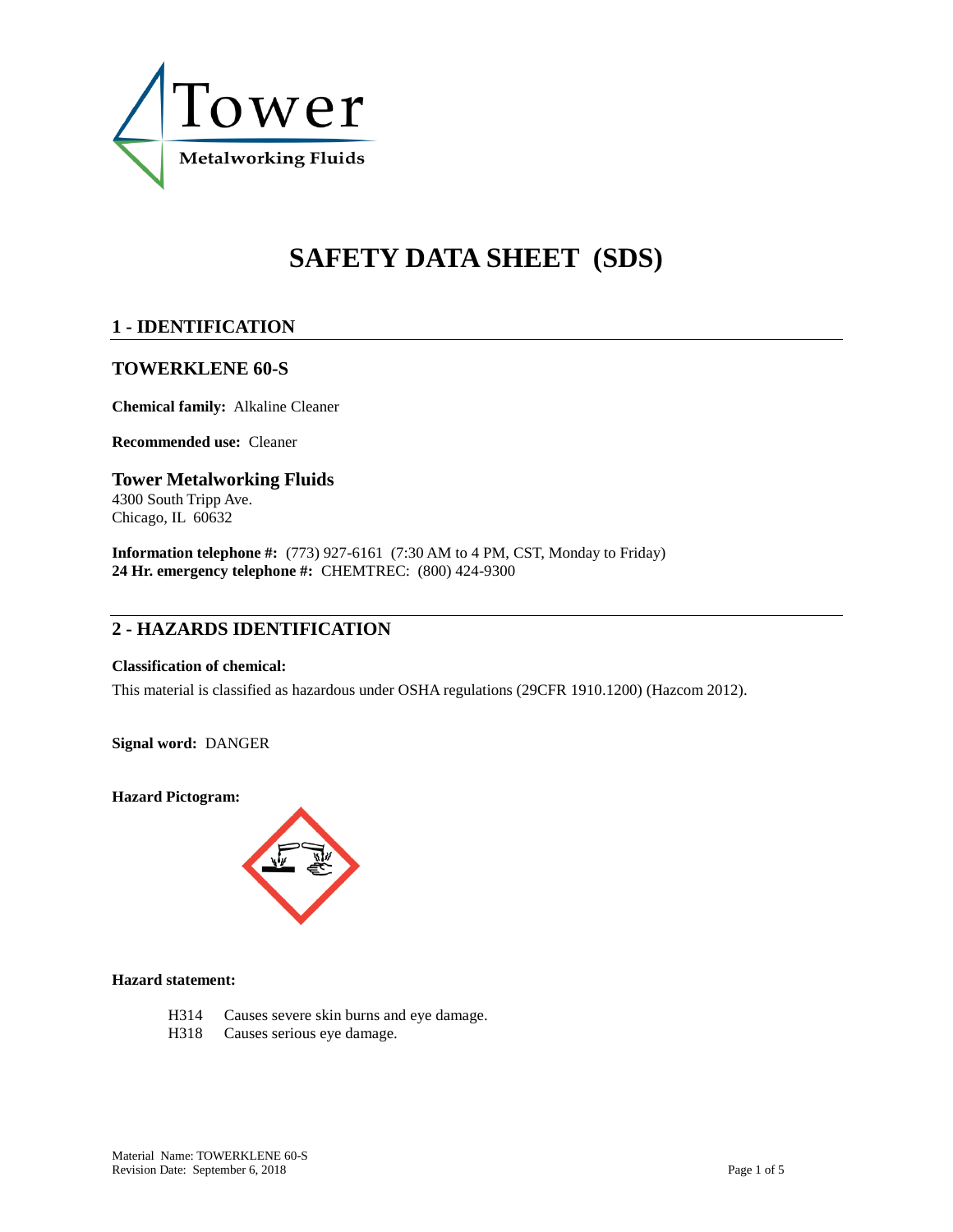

# **SAFETY DATA SHEET (SDS)**

# **1 - IDENTIFICATION**

### **TOWERKLENE 60-S**

**Chemical family:** Alkaline Cleaner

**Recommended use:** Cleaner

### **Tower Metalworking Fluids** 4300 South Tripp Ave. Chicago, IL 60632

**Information telephone #:** (773) 927-6161 (7:30 AM to 4 PM, CST, Monday to Friday) **24 Hr. emergency telephone #:** CHEMTREC: (800) 424-9300

# **2 - HAZARDS IDENTIFICATION**

### **Classification of chemical:**

This material is classified as hazardous under OSHA regulations (29CFR 1910.1200) (Hazcom 2012).

**Signal word:** DANGER

**Hazard Pictogram:**



### **Hazard statement:**

- H314 Causes severe skin burns and eye damage.
- H318 Causes serious eye damage.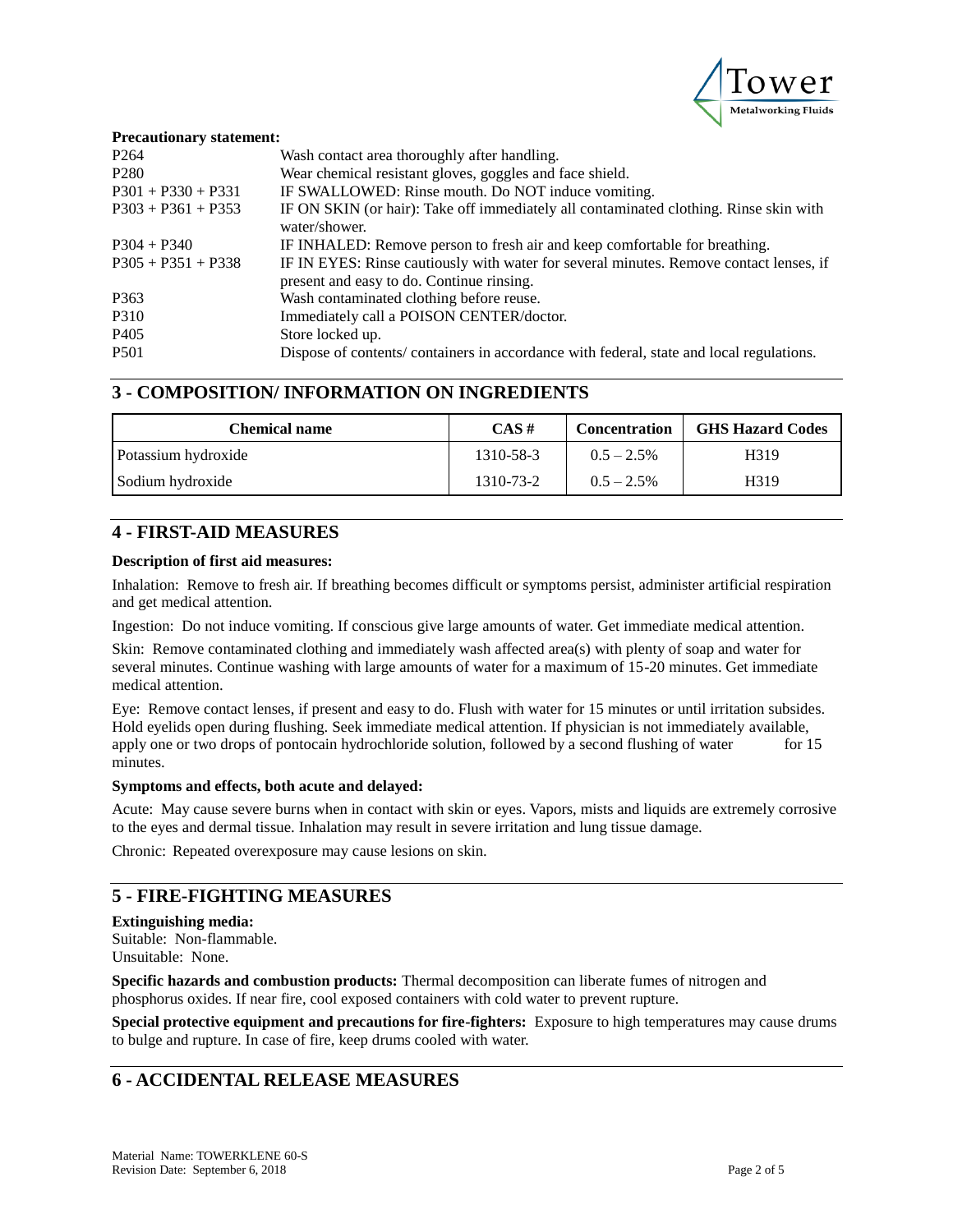

#### **Precautionary statement:**

| P <sub>264</sub>     | Wash contact area thoroughly after handling.                                             |
|----------------------|------------------------------------------------------------------------------------------|
| P <sub>280</sub>     | Wear chemical resistant gloves, goggles and face shield.                                 |
| $P301 + P330 + P331$ | IF SWALLOWED: Rinse mouth. Do NOT induce vomiting.                                       |
| $P303 + P361 + P353$ | IF ON SKIN (or hair): Take off immediately all contaminated clothing. Rinse skin with    |
|                      | water/shower.                                                                            |
| $P304 + P340$        | IF INHALED: Remove person to fresh air and keep comfortable for breathing.               |
| $P305 + P351 + P338$ | IF IN EYES: Rinse cautiously with water for several minutes. Remove contact lenses, if   |
|                      | present and easy to do. Continue rinsing.                                                |
| P <sub>363</sub>     | Wash contaminated clothing before reuse.                                                 |
| P310                 | Immediately call a POISON CENTER/doctor.                                                 |
| P <sub>405</sub>     | Store locked up.                                                                         |
| <b>P501</b>          | Dispose of contents/ containers in accordance with federal, state and local regulations. |
|                      |                                                                                          |

### **3 - COMPOSITION/ INFORMATION ON INGREDIENTS**

| Chemical name       | $CAS \#$  | <b>Concentration</b> | <b>GHS Hazard Codes</b> |
|---------------------|-----------|----------------------|-------------------------|
| Potassium hydroxide | 1310-58-3 | $0.5 - 2.5\%$        | H319                    |
| Sodium hydroxide    | 1310-73-2 | $0.5 - 2.5\%$        | H <sub>3</sub> 19       |

### **4 - FIRST-AID MEASURES**

#### **Description of first aid measures:**

Inhalation: Remove to fresh air. If breathing becomes difficult or symptoms persist, administer artificial respiration and get medical attention.

Ingestion: Do not induce vomiting. If conscious give large amounts of water. Get immediate medical attention.

Skin: Remove contaminated clothing and immediately wash affected area(s) with plenty of soap and water for several minutes. Continue washing with large amounts of water for a maximum of 15-20 minutes. Get immediate medical attention.

Eye: Remove contact lenses, if present and easy to do. Flush with water for 15 minutes or until irritation subsides. Hold eyelids open during flushing. Seek immediate medical attention. If physician is not immediately available, apply one or two drops of pontocain hydrochloride solution, followed by a second flushing of water for 15 minutes.

#### **Symptoms and effects, both acute and delayed:**

Acute: May cause severe burns when in contact with skin or eyes. Vapors, mists and liquids are extremely corrosive to the eyes and dermal tissue. Inhalation may result in severe irritation and lung tissue damage.

Chronic: Repeated overexposure may cause lesions on skin.

# **5 - FIRE-FIGHTING MEASURES**

### **Extinguishing media:**

Suitable: Non-flammable. Unsuitable: None.

**Specific hazards and combustion products:** Thermal decomposition can liberate fumes of nitrogen and phosphorus oxides. If near fire, cool exposed containers with cold water to prevent rupture.

**Special protective equipment and precautions for fire-fighters:** Exposure to high temperatures may cause drums to bulge and rupture. In case of fire, keep drums cooled with water.

# **6 - ACCIDENTAL RELEASE MEASURES**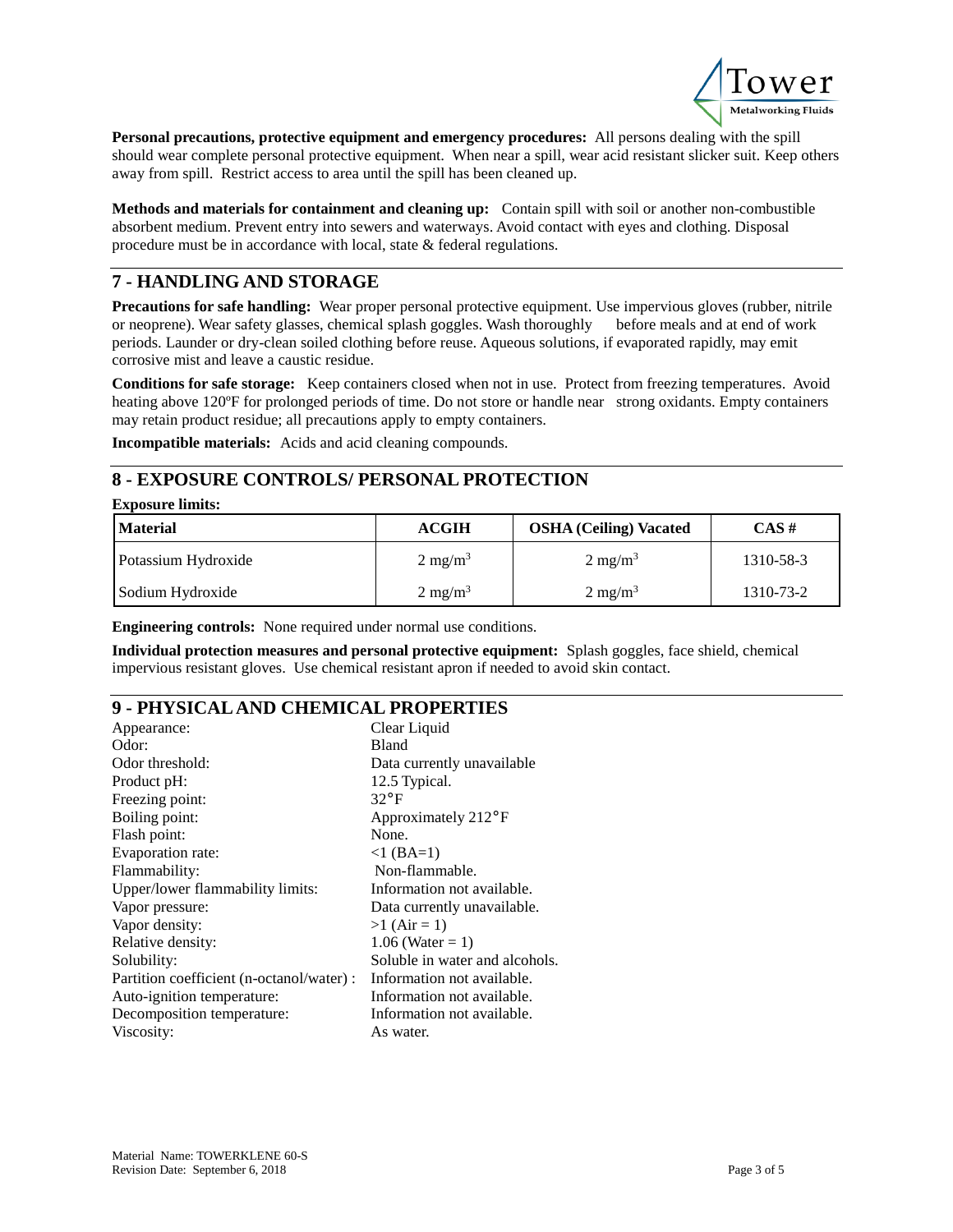

**Personal precautions, protective equipment and emergency procedures:** All persons dealing with the spill should wear complete personal protective equipment. When near a spill, wear acid resistant slicker suit. Keep others away from spill. Restrict access to area until the spill has been cleaned up.

**Methods and materials for containment and cleaning up:** Contain spill with soil or another non-combustible absorbent medium. Prevent entry into sewers and waterways. Avoid contact with eyes and clothing. Disposal procedure must be in accordance with local, state & federal regulations.

# **7 - HANDLING AND STORAGE**

**Precautions for safe handling:** Wear proper personal protective equipment. Use impervious gloves (rubber, nitrile or neoprene). Wear safety glasses, chemical splash goggles. Wash thoroughly before meals and at end of work periods. Launder or dry-clean soiled clothing before reuse. Aqueous solutions, if evaporated rapidly, may emit corrosive mist and leave a caustic residue.

**Conditions for safe storage:** Keep containers closed when not in use. Protect from freezing temperatures. Avoid heating above 120°F for prolonged periods of time. Do not store or handle near strong oxidants. Empty containers may retain product residue; all precautions apply to empty containers.

**Incompatible materials:** Acids and acid cleaning compounds.

# **8 - EXPOSURE CONTROLS/ PERSONAL PROTECTION**

#### **Exposure limits:**

| <b>Material</b>     | ACGIH              | <b>OSHA (Ceiling) Vacated</b> | CAS#      |
|---------------------|--------------------|-------------------------------|-----------|
| Potassium Hydroxide | $2 \text{ mg/m}^3$ | $2 \text{ mg/m}^3$            | 1310-58-3 |
| Sodium Hydroxide    | $2 \text{ mg/m}^3$ | $2 \text{ mg/m}^3$            | 1310-73-2 |

**Engineering controls:** None required under normal use conditions.

**Individual protection measures and personal protective equipment:** Splash goggles, face shield, chemical impervious resistant gloves. Use chemical resistant apron if needed to avoid skin contact.

### **9 - PHYSICAL AND CHEMICAL PROPERTIES**

| Appearance:                               | Clear Liquid                     |
|-------------------------------------------|----------------------------------|
| Odor:                                     | <b>Bland</b>                     |
| Odor threshold:                           | Data currently unavailable       |
| Product pH:                               | 12.5 Typical.                    |
| Freezing point:                           | $32^{\circ}F$                    |
| Boiling point:                            | Approximately 212 <sup>°</sup> F |
| Flash point:                              | None.                            |
| Evaporation rate:                         | $<1$ (BA=1)                      |
| Flammability:                             | Non-flammable.                   |
| Upper/lower flammability limits:          | Information not available.       |
| Vapor pressure:                           | Data currently unavailable.      |
| Vapor density:                            | $>1$ (Air = 1)                   |
| Relative density:                         | $1.06$ (Water = 1)               |
| Solubility:                               | Soluble in water and alcohols.   |
| Partition coefficient (n-octanol/water) : | Information not available.       |
| Auto-ignition temperature:                | Information not available.       |
| Decomposition temperature:                | Information not available.       |
| Viscosity:                                | As water.                        |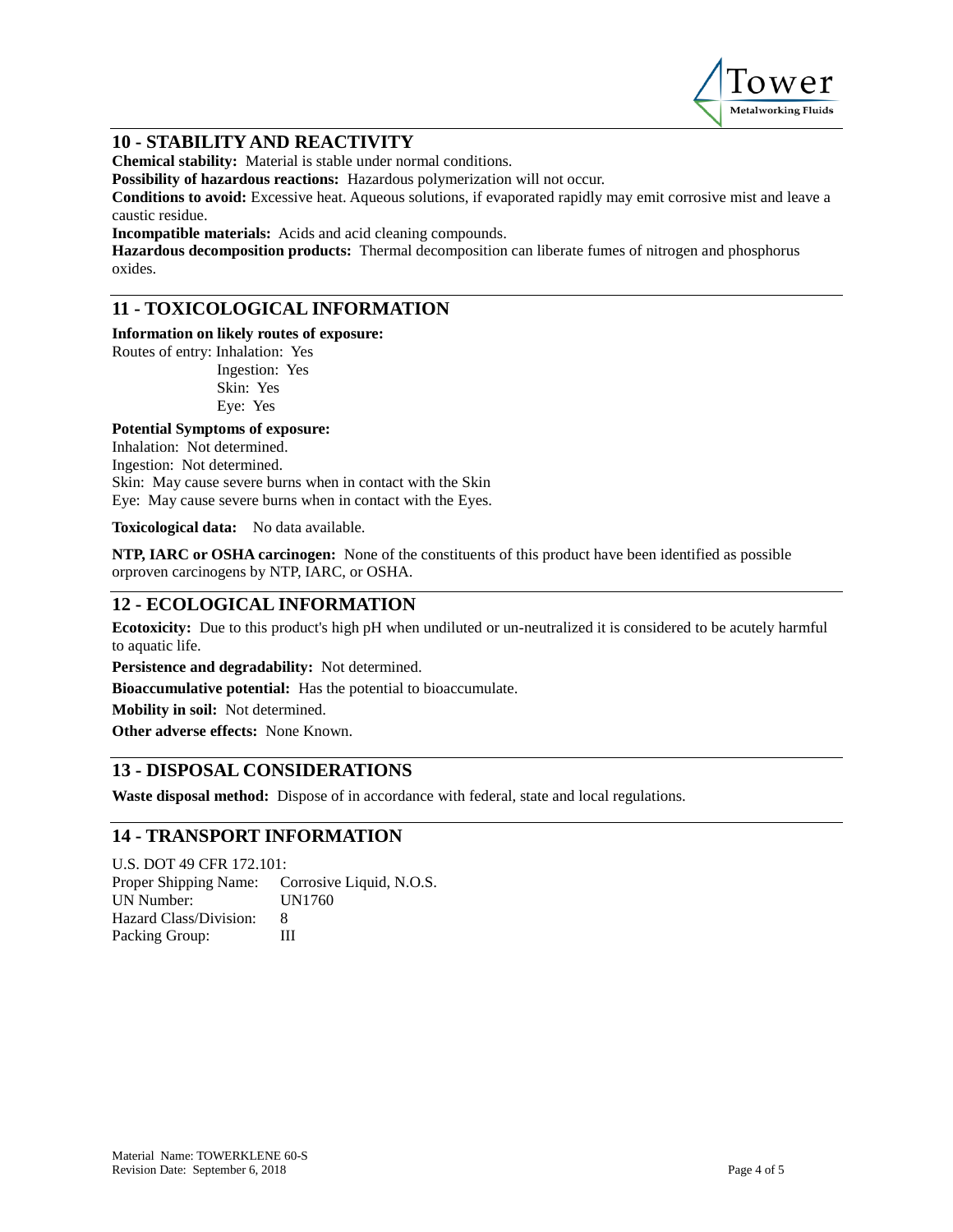

### **10 - STABILITY AND REACTIVITY**

**Chemical stability:** Material is stable under normal conditions.

**Possibility of hazardous reactions:** Hazardous polymerization will not occur.

**Conditions to avoid:** Excessive heat. Aqueous solutions, if evaporated rapidly may emit corrosive mist and leave a caustic residue.

**Incompatible materials:** Acids and acid cleaning compounds.

**Hazardous decomposition products:** Thermal decomposition can liberate fumes of nitrogen and phosphorus oxides.

# **11 - TOXICOLOGICAL INFORMATION**

**Information on likely routes of exposure:**

Routes of entry: Inhalation: Yes Ingestion: Yes Skin: Yes Eye: Yes

# **Potential Symptoms of exposure:**

Inhalation: Not determined. Ingestion: Not determined.

Skin: May cause severe burns when in contact with the Skin

Eye: May cause severe burns when in contact with the Eyes.

**Toxicological data:** No data available.

**NTP, IARC or OSHA carcinogen:** None of the constituents of this product have been identified as possible orproven carcinogens by NTP, IARC, or OSHA.

### **12 - ECOLOGICAL INFORMATION**

**Ecotoxicity:** Due to this product's high pH when undiluted or un-neutralized it is considered to be acutely harmful to aquatic life.

**Persistence and degradability:** Not determined.

**Bioaccumulative potential:** Has the potential to bioaccumulate.

**Mobility in soil:** Not determined.

**Other adverse effects:** None Known.

# **13 - DISPOSAL CONSIDERATIONS**

**Waste disposal method:** Dispose of in accordance with federal, state and local regulations.

### **14 - TRANSPORT INFORMATION**

U.S. DOT 49 CFR 172.101: Proper Shipping Name: Corrosive Liquid, N.O.S. UN Number: UN1760 Hazard Class/Division: 8 Packing Group: III